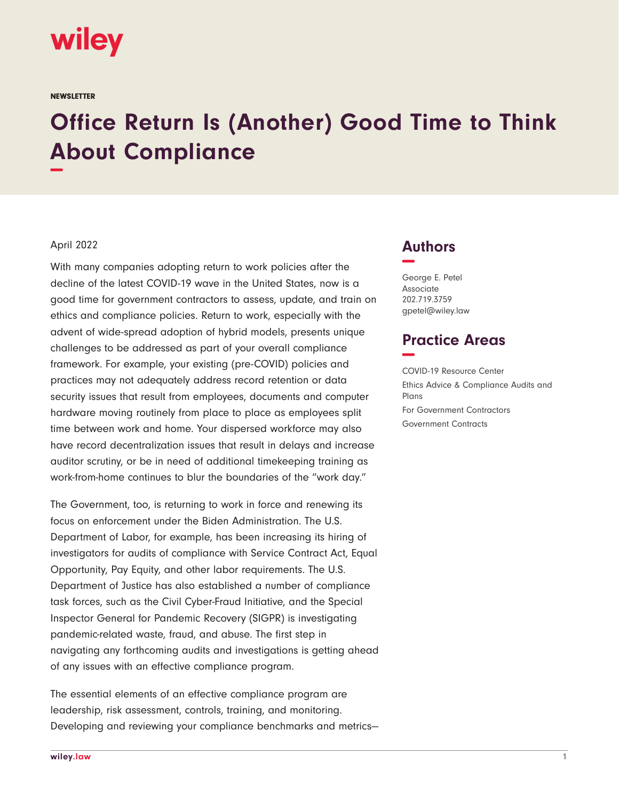

**NEWSLETTER** 

## **Office Return Is (Another) Good Time to Think About Compliance −**

## April 2022

With many companies adopting return to work policies after the decline of the latest COVID-19 wave in the United States, now is a good time for government contractors to assess, update, and train on ethics and compliance policies. Return to work, especially with the advent of wide-spread adoption of hybrid models, presents unique challenges to be addressed as part of your overall compliance framework. For example, your existing (pre-COVID) policies and practices may not adequately address record retention or data security issues that result from employees, documents and computer hardware moving routinely from place to place as employees split time between work and home. Your dispersed workforce may also have record decentralization issues that result in delays and increase auditor scrutiny, or be in need of additional timekeeping training as work-from-home continues to blur the boundaries of the "work day."

The Government, too, is returning to work in force and renewing its focus on enforcement under the Biden Administration. The U.S. Department of Labor, for example, has been increasing its hiring of investigators for audits of compliance with Service Contract Act, Equal Opportunity, Pay Equity, and other labor requirements. The U.S. Department of Justice has also established a number of compliance task forces, such as the Civil Cyber-Fraud Initiative, and the Special Inspector General for Pandemic Recovery (SIGPR) is investigating pandemic-related waste, fraud, and abuse. The first step in navigating any forthcoming audits and investigations is getting ahead of any issues with an effective compliance program.

The essential elements of an effective compliance program are leadership, risk assessment, controls, training, and monitoring. Developing and reviewing your compliance benchmarks and metrics—

## **Authors −**

George E. Petel Associate 202.719.3759 gpetel@wiley.law

## **Practice Areas −**

COVID-19 Resource Center Ethics Advice & Compliance Audits and Plans For Government Contractors Government Contracts